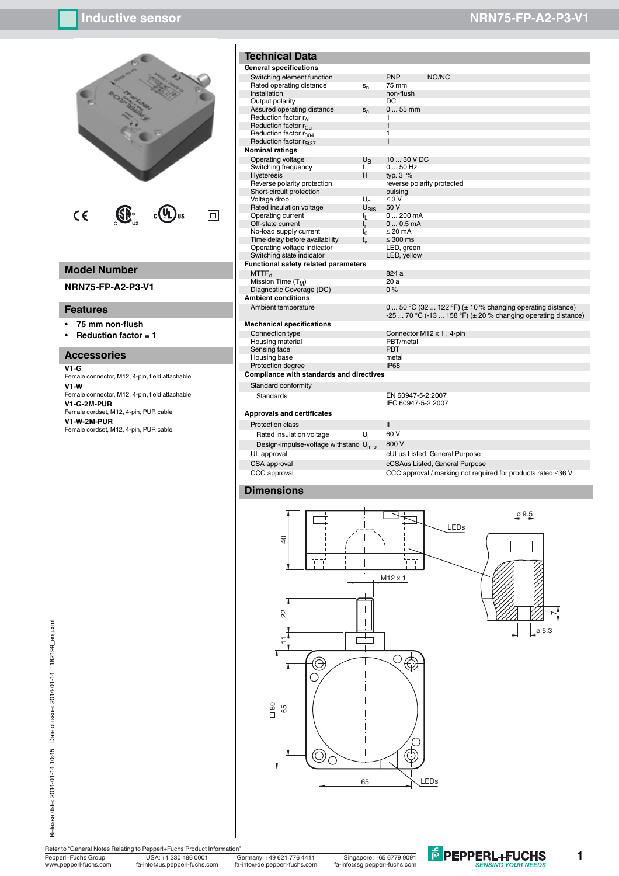

# **Model Number**

**NRN75-FP-A2-P3-V1**

### **Features**

- **ï 75 mm non-flush**
- **ï Reduction factor = 1**

### **Accessories**

#### **V1-G**

Female connector, M12, 4-pin, field attachable **V1-W** Female connector, M12, 4-pin, field attachable **V1-G-2M-PUR** Female cordset, M12, 4-pin, PUR cable **V1-W-2M-PUR** Female cordset, M12, 4-pin, PUR cable

| <b>Technical Data</b>                           |                |                                         |                                                                                                                                       |
|-------------------------------------------------|----------------|-----------------------------------------|---------------------------------------------------------------------------------------------------------------------------------------|
| General specifications                          |                |                                         |                                                                                                                                       |
| Switching element function                      |                | <b>PNP</b>                              | NO/NC                                                                                                                                 |
| Rated operating distance                        | $S_n$          | 75 mm                                   |                                                                                                                                       |
| Installation                                    |                | non-flush                               |                                                                                                                                       |
| Output polarity                                 |                | DC                                      |                                                                                                                                       |
| Assured operating distance                      | $S_{a}$        | $055$ mm                                |                                                                                                                                       |
| Reduction factor r <sub>AI</sub>                |                | 1                                       |                                                                                                                                       |
| Reduction factor r <sub>Cu</sub>                |                | $\mathbf{1}$                            |                                                                                                                                       |
| Reduction factor r <sub>304</sub>               |                | 1                                       |                                                                                                                                       |
| Reduction factor r <sub>St37</sub>              |                | $\mathbf{1}$                            |                                                                                                                                       |
| <b>Nominal ratings</b>                          |                |                                         |                                                                                                                                       |
| Operating voltage                               | $U_{R}$        | 10  30 V DC                             |                                                                                                                                       |
| Switching frequency                             | f              | $050$ Hz                                |                                                                                                                                       |
| <b>Hysteresis</b>                               | н              | typ. $3\%$                              |                                                                                                                                       |
| Reverse polarity protection                     |                | reverse polarity protected              |                                                                                                                                       |
| Short-circuit protection                        |                | pulsing                                 |                                                                                                                                       |
| Voltage drop                                    | $U_{\rm d}$    | $\leq 3$ V                              |                                                                                                                                       |
| Rated insulation voltage                        | $U_{\rm RIS}$  | 50 V                                    |                                                                                                                                       |
| Operating current                               | IL.            | $0200$ mA                               |                                                                                                                                       |
| Off-state current                               | $\mathsf{I}_r$ | $00.5$ mA                               |                                                                                                                                       |
| No-load supply current                          | I٥             | $\leq$ 20 mA                            |                                                                                                                                       |
| Time delay before availability                  | $t_{\rm v}$    | $\leq 300$ ms                           |                                                                                                                                       |
| Operating voltage indicator                     |                | LED, green                              |                                                                                                                                       |
| Switching state indicator                       |                | LED, yellow                             |                                                                                                                                       |
| Functional safety related parameters            |                |                                         |                                                                                                                                       |
| MTTF <sub>d</sub>                               |                | 824 a                                   |                                                                                                                                       |
| Mission Time $(T_M)$                            |                | 20a                                     |                                                                                                                                       |
| Diagnostic Coverage (DC)                        |                | $0\%$                                   |                                                                                                                                       |
| <b>Ambient conditions</b>                       |                |                                         |                                                                                                                                       |
| Ambient temperature                             |                |                                         | 0  50 °C (32  122 °F) ( $\pm$ 10 % changing operating distance)<br>-25  70 °C (-13  158 °F) ( $\pm$ 20 % changing operating distance) |
| <b>Mechanical specifications</b>                |                |                                         |                                                                                                                                       |
| Connection type                                 |                |                                         | Connector M12 x 1, 4-pin                                                                                                              |
| Housing material                                |                | PBT/metal                               |                                                                                                                                       |
| Sensing face                                    |                | <b>PRT</b>                              |                                                                                                                                       |
| Housing base                                    |                | metal                                   |                                                                                                                                       |
| Protection degree                               |                | <b>IP68</b>                             |                                                                                                                                       |
| <b>Compliance with standards and directives</b> |                |                                         |                                                                                                                                       |
| Standard conformity                             |                |                                         |                                                                                                                                       |
| <b>Standards</b>                                |                | EN 60947-5-2:2007<br>IEC 60947-5-2:2007 |                                                                                                                                       |
| <b>Approvals and certificates</b>               |                |                                         |                                                                                                                                       |

Protection class II

- Rated insulation voltage  $U_i$  60 V<br>Design-impulse-voltage withstand  $U_{\text{inn}}$  800 V
- Design-impulse-voltage withstand  $U_{imp}$ <br>UL approval CSA approval cCSAus Listed, General Purpose<br>CCC approval cCC approval cCC approval cCC approval cCC approval cCC approval cCC approval c

cULus Listed, General Purpose CCC approval / marking not required for products rated ≤36 V

**F** PEPPERL+FUCHS

### **Dimensions**





Refer to "General Notes Relating to Pepperl+Fuchs Product Information".

Pepperl+Fuchs Group Germany: +49 621 776 4411 USA: +1 330 486 0001 Singapore: +65 6779 9091

www.pepperl-fuchs.com fa-info@us.pepperl-fuchs.com fa-info@sg.pepperl-fuchs.com fa-info@de.pepperl-fuchs.com

# **Inductive sensor NRN75-FP-A2-P3-V1**

**1**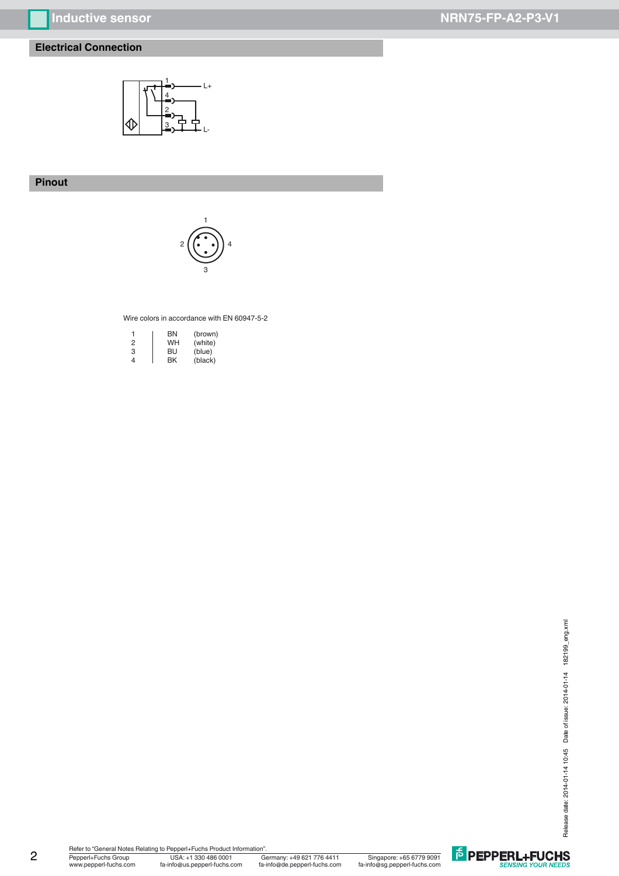# **Inductive sensor NRN75-FP-A2-P3-V1**

# **Electrical Connection**



# **Pinout**



### Wire colors in accordance with EN 60947-5-2

|   | ΒN | (brown) |
|---|----|---------|
| 2 | WH | (white) |
| З | BU | (blue)  |
| 4 | ΒK | (black) |

Pepperl+Fuchs Group Germany: +49 621 776 4411 www.pepperl-fuchs.com fa-info@us.pepperl-fuchs.com fa-info@sg.pepperl-fuchs.com fa-info@de.pepperl-fuchs.com -----<br>Germany: +49 621 776 4411 Singapore: +65 6779 9091<br>fa-info@de.pepperl-fuchs.com fa-info@sg.pepperl-fuchs.com